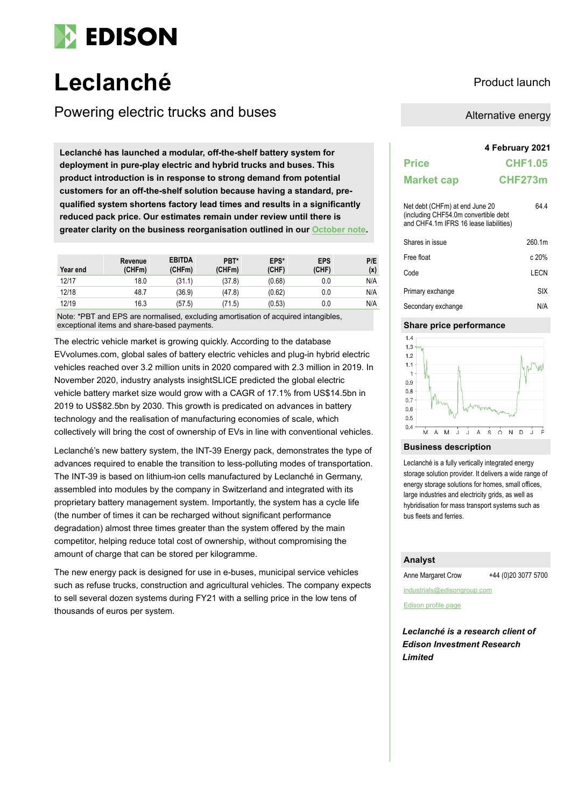

# **Leclanché** Product launch

Powering electric trucks and buses Alternative energy

**4 February 2021 Leclanché has launched a modular, off-the-shelf battery system for deployment in pure-play electric and hybrid trucks and buses. This product introduction is in response to strong demand from potential customers for an off-the-shelf solution because having a standard, prequalified system shortens factory lead times and results in a significantly reduced pack price. Our estimates remain under review until there is greater clarity on the business reorganisation outlined in our [October note.](https://www.edisongroup.com/company/leclanche/2561)**

| Year end | Revenue<br>(CHFm) | <b>EBITDA</b><br>(CHFm) | PBT*<br>(CHFm) | EPS*<br>(CHF) | <b>EPS</b><br>(CHF) | P/E<br>(x) |
|----------|-------------------|-------------------------|----------------|---------------|---------------------|------------|
| 12/17    | 18.0              | (31.1)                  | (37.8)         | (0.68)        | 0.0                 | N/A        |
| 12/18    | 48.7              | (36.9)                  | (47.8)         | (0.62)        | 0.0                 | N/A        |
| 12/19    | 16.3              | (57.5)                  | 71.5)          | (0.53)        | 0.0                 | N/A        |

Note: \*PBT and EPS are normalised, excluding amortisation of acquired intangibles, exceptional items and share-based payments.

The electric vehicle market is growing quickly. According to the database EVvolumes.com, global sales of battery electric vehicles and plug-in hybrid electric vehicles reached over 3.2 million units in 2020 compared with 2.3 million in 2019. In November 2020, industry analysts insightSLICE predicted the global electric vehicle battery market size would grow with a CAGR of 17.1% from US\$14.5bn in 2019 to US\$82.5bn by 2030. This growth is predicated on advances in battery technology and the realisation of manufacturing economies of scale, which collectively will bring the cost of ownership of EVs in line with conventional vehicles.

Leclanché's new battery system, the INT-39 Energy pack, demonstrates the type of advances required to enable the transition to less-polluting modes of transportation. The INT-39 is based on lithium-ion cells manufactured by Leclanché in Germany, assembled into modules by the company in Switzerland and integrated with its proprietary battery management system. Importantly, the system has a cycle life (the number of times it can be recharged without significant performance degradation) almost three times greater than the system offered by the main competitor, helping reduce total cost of ownership, without compromising the amount of charge that can be stored per kilogramme.

The new energy pack is designed for use in e-buses, municipal service vehicles such as refuse trucks, construction and agricultural vehicles. The company expects to sell several dozen systems during FY21 with a selling price in the low tens of thousands of euros per system.

|                                                                                                                  | 4 February 2021 |
|------------------------------------------------------------------------------------------------------------------|-----------------|
| <b>Price</b>                                                                                                     | <b>CHF1.05</b>  |
| <b>Market cap</b>                                                                                                | CHF273m         |
| Net debt (CHFm) at end June 20<br>(including CHF54.0m convertible debt<br>and CHF4.1m IFRS 16 lease liabilities) | 64 4            |
| Shares in issue                                                                                                  | 260.1m          |
| Free float                                                                                                       | c 20%           |
| Code                                                                                                             | I FCN           |
| Primary exchange                                                                                                 | SIX             |
| Secondary exchange                                                                                               | N/A             |

# **Share price performance**



## **Business description**

Leclanché is a fully vertically integrated energy storage solution provider. It delivers a wide range of energy storage solutions for homes, small offices, large industries and electricity grids, as well as hybridisation for mass transport systems such as bus fleets and ferries.

# **Analyst**

Anne Margaret Crow +44 (0)20 3077 5700

industrials@edisongroup.com

[Edison profile page](https://www.edisongroup.com/company/fluence-corporation)

*Leclanché is a research client of Edison Investment Research Limited*